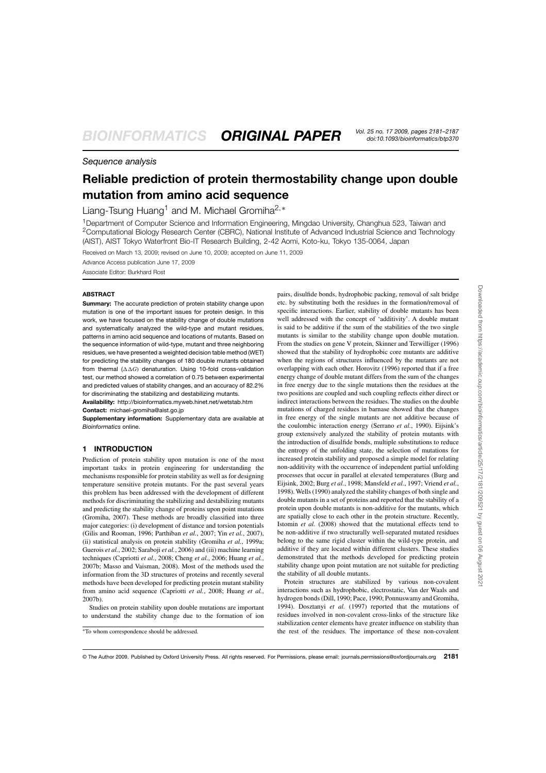# *Sequence analysis*

# **Reliable prediction of protein thermostability change upon double mutation from amino acid sequence**

Liang-Tsung Huang<sup>1</sup> and M. Michael Gromiha<sup>2,∗</sup>

<sup>1</sup>Department of Computer Science and Information Engineering, Mingdao University, Changhua 523, Taiwan and <sup>2</sup>Computational Biology Research Center (CBRC), National Institute of Advanced Industrial Science and Technology (AIST), AIST Tokyo Waterfront Bio-IT Research Building, 2-42 Aomi, Koto-ku, Tokyo 135-0064, Japan

Received on March 13, 2009; revised on June 10, 2009; accepted on June 11, 2009

Advance Access publication June 17, 2009 Associate Editor: Burkhard Rost

#### **ABSTRACT**

**Summary:** The accurate prediction of protein stability change upon mutation is one of the important issues for protein design. In this work, we have focused on the stability change of double mutations and systematically analyzed the wild-type and mutant residues, patterns in amino acid sequence and locations of mutants. Based on the sequence information of wild-type, mutant and three neighboring residues, we have presented a weighted decision table method (WET) for predicting the stability changes of 180 double mutants obtained from thermal  $(\Delta \Delta G)$  denaturation. Using 10-fold cross-validation test, our method showed a correlation of 0.75 between experimental and predicted values of stability changes, and an accuracy of 82.2% for discriminating the stabilizing and destabilizing mutants.

**Availability:** http://bioinformatics.myweb.hinet.net/wetstab.htm **Contact:** michael-gromiha@aist.go.jp

**Supplementary information:** Supplementary data are available at *Bioinformatics* online.

## **1 INTRODUCTION**

Prediction of protein stability upon mutation is one of the most important tasks in protein engineering for understanding the mechanisms responsible for protein stability as well as for designing temperature sensitive protein mutants. For the past several years this problem has been addressed with the development of different methods for discriminating the stabilizing and destabilizing mutants and predicting the stability change of proteins upon point mutations (Gromiha, 2007). These methods are broadly classified into three major categories: (i) development of distance and torsion potentials (Gilis and Rooman, 1996; Parthiban *et al.*, 2007; Yin *et al.*, 2007), (ii) statistical analysis on protein stability (Gromiha *et al.*, 1999a; Guerois *et al.*, 2002; Saraboji *et al.*, 2006) and (iii) machine learning techniques (Capriotti *et al.*, 2008; Cheng *et al.*, 2006; Huang *et al.*, 2007b; Masso and Vaisman, 2008). Most of the methods used the information from the 3D structures of proteins and recently several methods have been developed for predicting protein mutant stability from amino acid sequence (Capriotti *et al.*, 2008; Huang *et al.*, 2007b).

Studies on protein stability upon double mutations are important to understand the stability change due to the formation of ion

pairs, disulfide bonds, hydrophobic packing, removal of salt bridge etc. by substituting both the residues in the formation/removal of specific interactions. Earlier, stability of double mutants has been well addressed with the concept of 'additivity'. A double mutant is said to be additive if the sum of the stabilities of the two single mutants is similar to the stability change upon double mutation. From the studies on gene V protein, Skinner and Terwilliger (1996) showed that the stability of hydrophobic core mutants are additive when the regions of structures influenced by the mutants are not overlapping with each other. Horovitz (1996) reported that if a free energy change of double mutant differs from the sum of the changes in free energy due to the single mutations then the residues at the two positions are coupled and such coupling reflects either direct or indirect interactions between the residues. The studies on the double mutations of charged residues in barnase showed that the changes in free energy of the single mutants are not additive because of the coulombic interaction energy (Serrano *et al.*, 1990). Eijsink's group extensively analyzed the stability of protein mutants with the introduction of disulfide bonds, multiple substitutions to reduce the entropy of the unfolding state, the selection of mutations for increased protein stability and proposed a simple model for relating non-additivity with the occurrence of independent partial unfolding processes that occur in parallel at elevated temperatures (Burg and Eijsink, 2002; Burg *et al.*, 1998; Mansfeld *et al.*, 1997; Vriend *et al.*, 1998). Wells (1990) analyzed the stability changes of both single and double mutants in a set of proteins and reported that the stability of a protein upon double mutants is non-additive for the mutants, which are spatially close to each other in the protein structure. Recently, Istomin *et al.* (2008) showed that the mutational effects tend to be non-additive if two structurally well-separated mutated residues belong to the same rigid cluster within the wild-type protein, and additive if they are located within different clusters. These studies demonstrated that the methods developed for predicting protein stability change upon point mutation are not suitable for predicting the stability of all double mutants.

Protein structures are stabilized by various non-covalent interactions such as hydrophobic, electrostatic, Van der Waals and hydrogen bonds (Dill, 1990; Pace, 1990; Ponnuswamy and Gromiha, 1994). Dosztanyi *et al.* (1997) reported that the mutations of residues involved in non-covalent cross-links of the structure like stabilization center elements have greater influence on stability than the rest of the residues. The importance of these non-covalent

<sup>∗</sup>To whom correspondence should be addressed.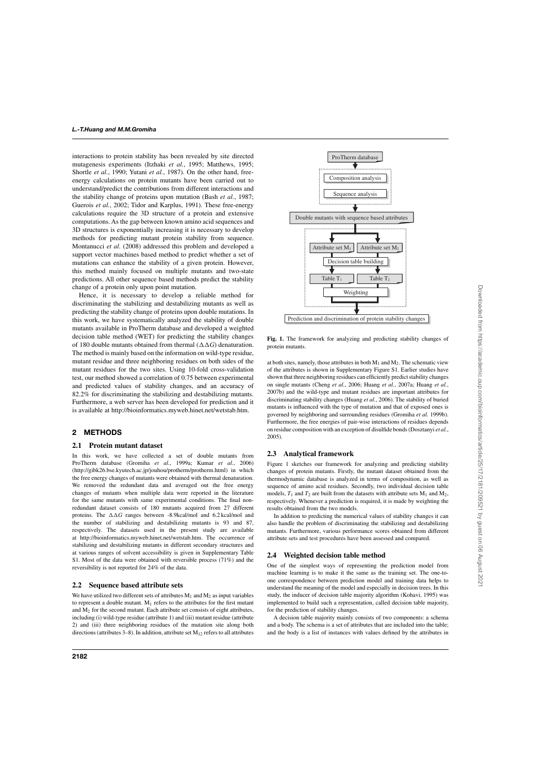interactions to protein stability has been revealed by site directed mutagenesis experiments (Itzhaki *et al.*, 1995; Matthews, 1995; Shortle *et al.*, 1990; Yutani *et al.*, 1987). On the other hand, freeenergy calculations on protein mutants have been carried out to understand/predict the contributions from different interactions and the stability change of proteins upon mutation (Bash *et al.*, 1987; Guerois *et al.*, 2002; Tidor and Karplus, 1991). These free-energy calculations require the 3D structure of a protein and extensive computations. As the gap between known amino acid sequences and 3D structures is exponentially increasing it is necessary to develop methods for predicting mutant protein stability from sequence. Montanucci *et al*. (2008) addressed this problem and developed a support vector machines based method to predict whether a set of mutations can enhance the stability of a given protein. However, this method mainly focused on multiple mutants and two-state predictions. All other sequence based methods predict the stability change of a protein only upon point mutation.

Hence, it is necessary to develop a reliable method for discriminating the stabilizing and destabilizing mutants as well as predicting the stability change of proteins upon double mutations. In this work, we have systematically analyzed the stability of double mutants available in ProTherm database and developed a weighted decision table method (WET) for predicting the stability changes of 180 double mutants obtained from thermal  $(\Delta \Delta G)$  denaturation. The method is mainly based on the information on wild-type residue, mutant residue and three neighboring residues on both sides of the mutant residues for the two sites. Using 10-fold cross-validation test, our method showed a correlation of 0.75 between experimental and predicted values of stability changes, and an accuracy of 82.2% for discriminating the stabilizing and destabilizing mutants. Furthermore, a web server has been developed for prediction and it is available at http://bioinformatics.myweb.hinet.net/wetstab.htm.

## **2 METHODS**

#### **2.1 Protein mutant dataset**

In this work, we have collected a set of double mutants from ProTherm database (Gromiha *et al.*, 1999a; Kumar *et al.*, 2006) (http://gibk26.bse.kyutech.ac.jp/jouhou/protherm/protherm.html) in which the free energy changes of mutants were obtained with thermal denaturation. We removed the redundant data and averaged out the free energy changes of mutants when multiple data were reported in the literature for the same mutants with same experimental conditions. The final nonredundant dataset consists of 180 mutants acquired from 27 different proteins. The  $\Delta\Delta G$  ranges between -8.9kcal/mol and 6.2 kcal/mol and the number of stabilizing and destabilizing mutants is 93 and 87, respectively. The datasets used in the present study are available at http://bioinformatics.myweb.hinet.net/wetstab.htm. The occurrence of stabilizing and destabilizing mutants in different secondary structures and at various ranges of solvent accessibility is given in Supplementary Table S1. Most of the data were obtained with reversible process (71%) and the reversibility is not reported for 24% of the data.

#### **2.2 Sequence based attribute sets**

We have utilized two different sets of attributes  $M_1$  and  $M_2$  as input variables to represent a double mutant.  $M_1$  refers to the attributes for the first mutant and M<sup>2</sup> for the second mutant. Each attribute set consists of eight attributes, including (i) wild-type residue (attribute 1) and (iii) mutant residue (attribute 2) and (iii) three neighboring residues of the mutation site along both directions (attributes 3–8). In addition, attribute set  $M_{12}$  refers to all attributes



**Fig. 1.** The framework for analyzing and predicting stability changes of protein mutants.

at both sites, namely, those attributes in both  $M_1$  and  $M_2$ . The schematic view of the attributes is shown in Supplementary Figure S1. Earlier studies have shown that three neighboring residues can efficiently predict stability changes on single mutants (Cheng *et al.*, 2006; Huang *et al.*, 2007a; Huang *et al.*, 2007b) and the wild-type and mutant residues are important attributes for discriminating stability changes (Huang *et al.*, 2006). The stability of buried mutants is influenced with the type of mutation and that of exposed ones is governed by neighboring and surrounding residues (Gromiha *et al.* 1999b). Furthermore, the free energies of pair-wise interactions of residues depends on residue composition with an exception of disulfide bonds (Dosztanyi *et al.*, 2005).

#### **2.3 Analytical framework**

Figure 1 sketches our framework for analyzing and predicting stability changes of protein mutants. Firstly, the mutant dataset obtained from the thermodynamic database is analyzed in terms of composition, as well as sequence of amino acid residues. Secondly, two individual decision table models,  $T_1$  and  $T_2$  are built from the datasets with attribute sets  $M_1$  and  $M_2$ , respectively. Whenever a prediction is required, it is made by weighting the results obtained from the two models.

In addition to predicting the numerical values of stability changes it can also handle the problem of discriminating the stabilizing and destabilizing mutants. Furthermore, various performance scores obtained from different attribute sets and test procedures have been assessed and compared.

#### **2.4 Weighted decision table method**

One of the simplest ways of representing the prediction model from machine learning is to make it the same as the training set. The one-toone correspondence between prediction model and training data helps to understand the meaning of the model and especially in decision trees. In this study, the inducer of decision table majority algorithm (Kohavi, 1995) was implemented to build such a representation, called decision table majority, for the prediction of stability changes.

A decision table majority mainly consists of two components: a schema and a body. The schema is a set of attributes that are included into the table; and the body is a list of instances with values defined by the attributes in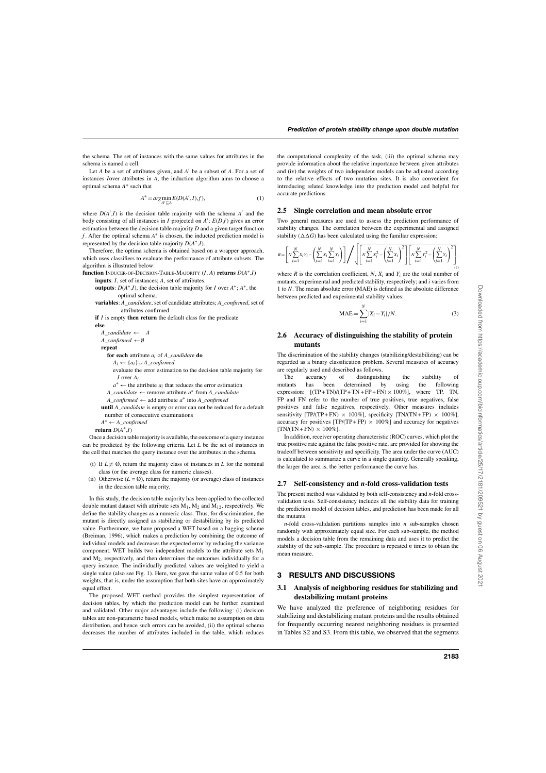the schema. The set of instances with the same values for attributes in the schema is named a cell.

Let *A* be a set of attributes given, and *A* ′ be a subset of *A*. For a set of instances *I*over attributes in *A*, the induction algorithm aims to choose a optimal schema *A*\* such that

$$
A^* = \arg\min_{A' \subseteq A} E(D(A', I), f), \tag{1}
$$

where  $D(A', I)$  is the decision table majority with the schema  $A'$  and the body consisting of all instances in *I* projected on *A* ′ ; *E*(*D*,*f* ) gives an error estimation between the decision table majority *D* and a given target function *f* . After the optimal schema *A* ∗ is chosen, the inducted prediction model is represented by the decision table majority *D*(*A* ∗ ,*I*).

Therefore, the optima schema is obtained based on a wrapper approach, which uses classifiers to evaluate the performance of attribute subsets. The algorithm is illustrated below:

**function** Inducer-of-Decision-Table-Majority (*I*, *A*) **returns** *D*(*A* ∗ ,*I*)

- **inputs**: *I*, set of instances; *A*, set of attributes. **outputs**:  $D(A^*, I)$ , the decision table majority for *I* over  $A^*$ ;  $A^*$ , the optimal schema.
- **variables**: *A\_candidate*, set of candidate attributes; *A\_confirmed*, set of attributes confirmed.
- **if** *I* is empty **then return** the default class for the predicate

**else**

*A* candidate  $\leftarrow$  *A A\_confirmed* ←∅

**repeat**

**for each** attribute *a<sup>i</sup>* of *A\_candidat*e **do**

*A<sup>i</sup>* ← {*ai*}∪ *A\_confirmed*

- evaluate the error estimation to the decision table majority for *I* over *A<sup>i</sup>*
- $a^* \leftarrow$  the attribute  $a_i$  that reduces the error estimation

*A\_candidate* ← remove attribute *a* ∗ from *A\_candidate*

*A\_confirmed* ← add attribute *a* ∗ into *A\_confirmed*

**until** *A\_candidate* is empty or error can not be reduced for a default number of consecutive examinations

*A* <sup>∗</sup> ← *A\_confirmed*

**return**  $D(A^*, I)$ 

Once a decision table majority is available, the outcome of a query instance can be predicted by the following criteria. Let *L* be the set of instances in the cell that matches the query instance over the attributes in the schema.

- (i) If  $L \neq \emptyset$ , return the majority class of instances in *L* for the nominal class (or the average class for numeric classes).
- (ii) Otherwise  $(L = \emptyset)$ , return the majority (or average) class of instances in the decision table majority.

In this study, the decision table majority has been applied to the collected double mutant dataset with attribute sets  $M_1$ ,  $M_2$  and  $M_{12}$ , respectively. We define the stability changes as a numeric class. Thus, for discrimination, the mutant is directly assigned as stabilizing or destabilizing by its predicted value. Furthermore, we have proposed a WET based on a bagging scheme (Breiman, 1996), which makes a prediction by combining the outcome of individual models and decreases the expected error by reducing the variance component. WET builds two independent models to the attribute sets M<sup>1</sup> and  $M<sub>2</sub>$ , respectively, and then determines the outcomes individually for a query instance. The individually predicted values are weighted to yield a single value (also see Fig. 1). Here, we gave the same value of 0.5 for both weights, that is, under the assumption that both sites have an approximately equal effect.

The proposed WET method provides the simplest representation of decision tables, by which the prediction model can be further examined and validated. Other major advantages include the following: (i) decision tables are non-parametric based models, which make no assumption on data distribution, and hence such errors can be avoided, (ii) the optimal schema decreases the number of attributes included in the table, which reduces

the computational complexity of the task, (iii) the optimal schema may provide information about the relative importance between given attributes and (iv) the weights of two independent models can be adjusted according to the relative effects of two mutation sites. It is also convenient for introducing related knowledge into the prediction model and helpful for accurate predictions.

#### **2.5 Single correlation and mean absolute error**

Two general measures are used to assess the prediction performance of stability changes. The correlation between the experimental and assigned stability  $(\Delta \Delta G)$  has been calculated using the familiar expression:

$$
R = \left[ N \sum_{i=1}^{N} X_i Y_i - \left( \sum_{i=1}^{N} X_i \sum_{i=1}^{N} Y_i \right) \right] \Bigg/ \sqrt{\left[ N \sum_{i=1}^{N} X_i^2 - \left( \sum_{i=1}^{N} X_i \right)^2 \right] \left[ N \sum_{i=1}^{N} Y_i^2 - \left( \sum_{i=1}^{N} Y_i \right)^2 \right]}.
$$

where *R* is the correlation coefficient, *N*,  $X_i$  and  $Y_i$  are the total number of mutants, experimental and predicted stability, respectively; and *i* varies from 1 to *N*. The mean absolute error (MAE) is defined as the absolute difference between predicted and experimental stability values:

$$
MAE = \sum_{i=1}^{N} |X_i - Y_i| / N.
$$
 (3)

#### **2.6 Accuracy of distinguishing the stability of protein mutants**

The discrimination of the stability changes (stabilizing/destabilizing) can be regarded as a binary classification problem. Several measures of accuracy are regularly used and described as follows.<br>The accuracy of distinguish

The accuracy of distinguishing the stability of mutants has been determined by using the following expression:  $[(TP + TN)/(TP + TN + FP + FN) \times 100\%]$ , where TP, TN, FP and FN refer to the number of true positives, true negatives, false positives and false negatives, respectively. Other measures includes sensitivity  $[TP/(TP + FN) \times 100\%]$ , specificity  $[TN/(TN + FP) \times 100\%]$ , accuracy for positives  $[TP/(TP + FP) \times 100\%]$  and accuracy for negatives  $[TN/(TN + FN) \times 100\%]$ .

In addition, receiver operating characteristic (ROC) curves, which plot the true positive rate against the false positive rate, are provided for showing the tradeoff between sensitivity and specificity. The area under the curve (AUC) is calculated to summarize a curve in a single quantity. Generally speaking, the larger the area is, the better performance the curve has.

#### **2.7 Self-consistency and** *n***-fold cross-validation tests**

The present method was validated by both self-consistency and *n*-fold crossvalidation tests. Self-consistency includes all the stability data for training the prediction model of decision tables, and prediction has been made for all the mutants.

*n*-fold cross-validation partitions samples into *n* sub-samples chosen randomly with approximately equal size. For each sub-sample, the method models a decision table from the remaining data and uses it to predict the stability of the sub-sample. The procedure is repeated *n* times to obtain the mean measure.

#### **3 RESULTS AND DISCUSSIONS**

#### **3.1 Analysis of neighboring residues for stabilizing and destabilizing mutant proteins**

We have analyzed the preference of neighboring residues for stabilizing and destabilizing mutant proteins and the results obtained for frequently occurring nearest neighboring residues is presented in Tables S2 and S3. From this table, we observed that the segments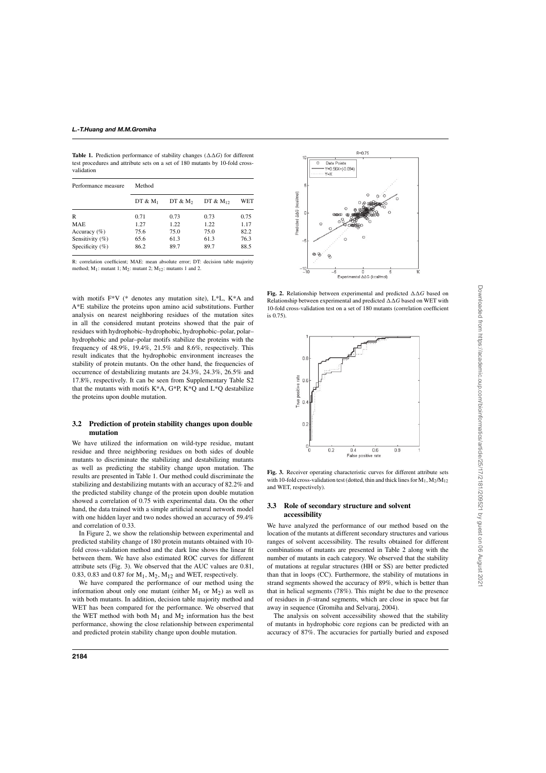**Table 1.** Prediction performance of stability changes  $(\Delta \Delta G)$  for different test procedures and attribute sets on a set of 180 mutants by 10-fold crossvalidation

| Performance measure | Method     |            |               |      |  |  |  |
|---------------------|------------|------------|---------------|------|--|--|--|
|                     | $DT & M_1$ | DT & $M_2$ | DT & $M_{12}$ | WET  |  |  |  |
| R                   | 0.71       | 0.73       | 0.73          | 0.75 |  |  |  |
| <b>MAE</b>          | 1.27       | 1.22       | 1.22          | 1.17 |  |  |  |
| Accuracy $(\% )$    | 75.6       | 75.0       | 75.0          | 82.2 |  |  |  |
| Sensitivity (%)     | 65.6       | 61.3       | 61.3          | 76.3 |  |  |  |
| Specificity $(\% )$ | 86.2       | 89.7       | 89.7          | 88.5 |  |  |  |

R: correlation coefficient; MAE: mean absolute error; DT: decision table majority method;  $M_1$ : mutant 1;  $M_2$ : mutant 2;  $M_{12}$ : mutants 1 and 2.

with motifs F\*V (\* denotes any mutation site), L\*L, K\*A and A\*E stabilize the proteins upon amino acid substitutions. Further analysis on nearest neighboring residues of the mutation sites in all the considered mutant proteins showed that the pair of residues with hydrophobic–hydrophobic, hydrophobic–polar, polar– hydrophobic and polar–polar motifs stabilize the proteins with the frequency of 48.9%, 19.4%, 21.5% and 8.6%, respectively. This result indicates that the hydrophobic environment increases the stability of protein mutants. On the other hand, the frequencies of occurrence of destabilizing mutants are 24.3%, 24.3%, 26.5% and 17.8%, respectively. It can be seen from Supplementary Table S2 that the mutants with motifs K\*A, G\*P, K\*Q and L\*Q destabilize the proteins upon double mutation.

## **3.2 Prediction of protein stability changes upon double mutation**

We have utilized the information on wild-type residue, mutant residue and three neighboring residues on both sides of double mutants to discriminate the stabilizing and destabilizing mutants as well as predicting the stability change upon mutation. The results are presented in Table 1. Our method could discriminate the stabilizing and destabilizing mutants with an accuracy of 82.2% and the predicted stability change of the protein upon double mutation showed a correlation of 0.75 with experimental data. On the other hand, the data trained with a simple artificial neural network model with one hidden layer and two nodes showed an accuracy of 59.4% and correlation of 0.33.

In Figure 2, we show the relationship between experimental and predicted stability change of 180 protein mutants obtained with 10 fold cross-validation method and the dark line shows the linear fit between them. We have also estimated ROC curves for different attribute sets (Fig. 3). We observed that the AUC values are 0.81, 0.83, 0.83 and 0.87 for  $M_1$ ,  $M_2$ ,  $M_{12}$  and WET, respectively.

We have compared the performance of our method using the information about only one mutant (either  $M_1$  or  $M_2$ ) as well as with both mutants. In addition, decision table majority method and WET has been compared for the performance. We observed that the WET method with both  $M_1$  and  $M_2$  information has the best performance, showing the close relationship between experimental and predicted protein stability change upon double mutation.



**Fig. 2.** Relationship between experimental and predicted  $\Delta \Delta G$  based on Relationship between experimental and predicted  $\Delta\Delta G$  based on WET with 10-fold cross-validation test on a set of 180 mutants (correlation coefficient is 0.75).



**Fig. 3.** Receiver operating characteristic curves for different attribute sets with 10-fold cross-validation test (dotted, thin and thick lines for  $M_1, M_2/M_{12}$ and WET, respectively).

### **3.3 Role of secondary structure and solvent accessibility**

We have analyzed the performance of our method based on the location of the mutants at different secondary structures and various ranges of solvent accessibility. The results obtained for different combinations of mutants are presented in Table 2 along with the number of mutants in each category. We observed that the stability of mutations at regular structures (HH or SS) are better predicted than that in loops (CC). Furthermore, the stability of mutations in strand segments showed the accuracy of 89%, which is better than that in helical segments (78%). This might be due to the presence of residues in  $\beta$ -strand segments, which are close in space but far away in sequence (Gromiha and Selvaraj, 2004).

The analysis on solvent accessibility showed that the stability of mutants in hydrophobic core regions can be predicted with an accuracy of 87%. The accuracies for partially buried and exposed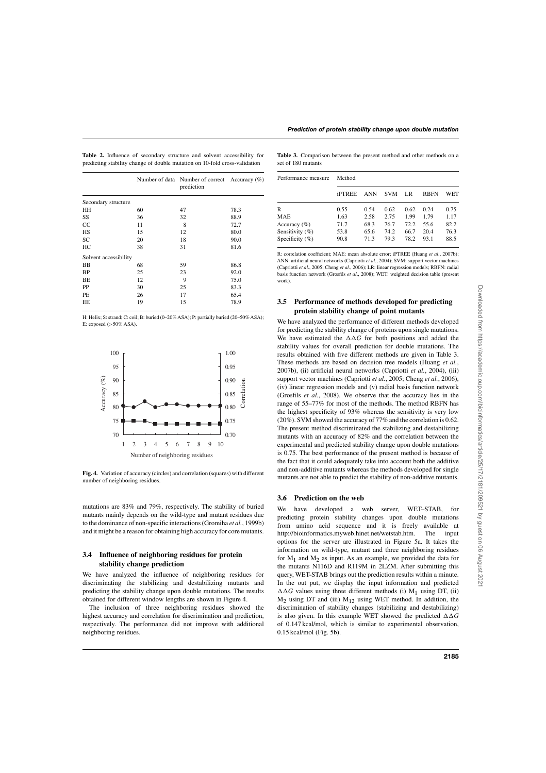|  |  |  |  | <b>Table 2.</b> Influence of secondary structure and solvent accessibility for |  |
|--|--|--|--|--------------------------------------------------------------------------------|--|
|  |  |  |  | predicting stability change of double mutation on 10-fold cross-validation     |  |

|                       |    | Number of data Number of correct Accuracy (%)<br>prediction |      |
|-----------------------|----|-------------------------------------------------------------|------|
| Secondary structure   |    |                                                             |      |
| HH                    | 60 | 47                                                          | 78.3 |
| SS                    | 36 | 32                                                          | 88.9 |
| CC                    | 11 | 8                                                           | 72.7 |
| HS                    | 15 | 12                                                          | 80.0 |
| SC                    | 20 | 18                                                          | 90.0 |
| HC                    | 38 | 31                                                          | 81.6 |
| Solvent accessibility |    |                                                             |      |
| <b>BB</b>             | 68 | 59                                                          | 86.8 |
| <b>BP</b>             | 25 | 23                                                          | 92.0 |
| BE                    | 12 | 9                                                           | 75.0 |
| <b>PP</b>             | 30 | 25                                                          | 83.3 |
| PE                    | 26 | 17                                                          | 65.4 |
| EE                    | 19 | 15                                                          | 78.9 |
|                       |    |                                                             |      |

H: Helix; S: strand; C: coil; B: buried (0–20% ASA); P: partially buried (20–50% ASA); E: exposed  $(>50\%$  ASA).



**Fig. 4.** Variation of accuracy (circles) and correlation (squares) with different number of neighboring residues.

mutations are 83% and 79%, respectively. The stability of buried mutants mainly depends on the wild-type and mutant residues due to the dominance of non-specific interactions (Gromiha *et al.*, 1999b) and it might be a reason for obtaining high accuracy for core mutants.

## **3.4 Influence of neighboring residues for protein stability change prediction**

We have analyzed the influence of neighboring residues for discriminating the stabilizing and destabilizing mutants and predicting the stability change upon double mutations. The results obtained for different window lengths are shown in Figure 4.

The inclusion of three neighboring residues showed the highest accuracy and correlation for discrimination and prediction, respectively. The performance did not improve with additional neighboring residues.

**Table 3.** Comparison between the present method and other methods on a set of 180 mutants

| Performance measure | Method        |      |            |      |             |      |  |
|---------------------|---------------|------|------------|------|-------------|------|--|
|                     | <b>iPTREE</b> | ANN  | <b>SVM</b> | LR   | <b>RBFN</b> | WET  |  |
| R                   | 0.55          | 0.54 | 0.62       | 0.62 | 0.24        | 0.75 |  |
| <b>MAE</b>          | 1.63          | 2.58 | 2.75       | 1.99 | 1.79        | 1.17 |  |
| Accuracy $(\% )$    | 71.7          | 68.3 | 76.7       | 72.2 | 55.6        | 82.2 |  |
| Sensitivity $(\%)$  | 53.8          | 65.6 | 74.2       | 66.7 | 20.4        | 76.3 |  |
| Specificity $(\% )$ | 90.8          | 71.3 | 79.3       | 78.2 | 93.1        | 88.5 |  |

R: correlation coefficient; MAE: mean absolute error; iPTREE (Huang *et al*., 2007b); ANN: artificial neural networks (Capriotti *et al*., 2004); SVM: support vector machines (Capriotti *et al*., 2005; Cheng *et al*., 2006); LR: linear regression models; RBFN: radial basis function network (Grosfils *et al*., 2008); WET: weighted decision table (present work)

## **3.5 Performance of methods developed for predicting protein stability change of point mutants**

We have analyzed the performance of different methods developed for predicting the stability change of proteins upon single mutations. We have estimated the  $\Delta\Delta G$  for both positions and added the stability values for overall prediction for double mutations. The results obtained with five different methods are given in Table 3. These methods are based on decision tree models (Huang *et al.*, 2007b), (ii) artificial neural networks (Capriotti *et al.*, 2004), (iii) support vector machines (Capriotti *et al.*, 2005; Cheng *et al.*, 2006), (iv) linear regression models and (v) radial basis function network (Grosfils *et al.*, 2008). We observe that the accuracy lies in the range of 55–77% for most of the methods. The method RBFN has the highest specificity of 93% whereas the sensitivity is very low (20%). SVM showed the accuracy of 77% and the correlation is 0.62. The present method discriminated the stabilizing and destabilizing mutants with an accuracy of 82% and the correlation between the experimental and predicted stability change upon double mutations is 0.75. The best performance of the present method is because of the fact that it could adequately take into account both the additive and non-additive mutants whereas the methods developed for single mutants are not able to predict the stability of non-additive mutants.

## **3.6 Prediction on the web**

We have developed a web server, WET–STAB, for predicting protein stability changes upon double mutations from amino acid sequence and it is freely available at http://bioinformatics.myweb.hinet.net/wetstab.htm. The input options for the server are illustrated in Figure 5a. It takes the information on wild-type, mutant and three neighboring residues for  $M_1$  and  $M_2$  as input. As an example, we provided the data for the mutants N116D and R119M in 2LZM. After submitting this query, WET-STAB brings out the prediction results within a minute. In the out put, we display the input information and predicted  $\Delta\Delta G$  values using three different methods (i) M<sub>1</sub> using DT, (ii)  $M<sub>2</sub>$  using DT and (iii)  $M<sub>12</sub>$  using WET method. In addition, the discrimination of stability changes (stabilizing and destabilizing) is also given. In this example WET showed the predicted  $\Delta\Delta G$ of 0.147 kcal/mol, which is similar to experimental observation, 0.15 kcal/mol (Fig. 5b).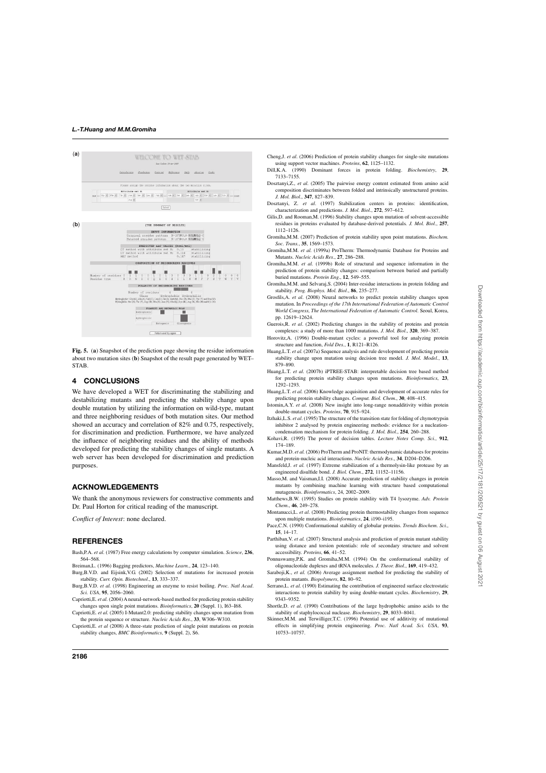

**Fig. 5.** (**a**) Snapshot of the prediction page showing the residue information about two mutation sites (**b**) Snapshot of the result page generated by WET– STAB.

# **4 CONCLUSIONS**

We have developed a WET for discriminating the stabilizing and destabilizing mutants and predicting the stability change upon double mutation by utilizing the information on wild-type, mutant and three neighboring residues of both mutation sites. Our method showed an accuracy and correlation of 82% and 0.75, respectively, for discrimination and prediction. Furthermore, we have analyzed the influence of neighboring residues and the ability of methods developed for predicting the stability changes of single mutants. A web server has been developed for discrimination and prediction purposes.

# **ACKNOWLEDGEMENTS**

We thank the anonymous reviewers for constructive comments and Dr. Paul Horton for critical reading of the manuscript.

*Conflict of Interest*: none declared.

# **REFERENCES**

- Bash,P.A. *et al.* (1987) Free energy calculations by computer simulation. *Science*, **236**, 564–568.
- Breiman,L. (1996) Bagging predictors, *Machine Learn.*, **24**, 123–140.
- Burg,B.V.D. and Eijsink,V.G. (2002) Selection of mutations for increased protein stability. *Curr. Opin. Biotechnol*., **13**, 333–337.
- Burg,B.V.D. *et al.* (1998) Engineering an enzyme to resist boiling. *Proc. Natl Acad*. *Sci. USA*, **95**, 2056–2060.
- Capriotti,E. *et al.* (2004) A neural-network-based method for predicting protein stability changes upon single point mutations. *Bioinformatics*, **20** (Suppl. 1), I63–I68.
- Capriotti,E. *et al.* (2005) I-Mutant2.0: predicting stability changes upon mutation from the protein sequence or structure. *Nucleic Acids Res*., **33**, W306–W310.
- Capriotti,E. *et al* (2008) A three-state prediction of single point mutations on protein stability changes, *BMC Bioinformatics*, **9** (Suppl. 2), S6.
- Cheng,J. *et al*. (2006) Prediction of protein stability changes for single-site mutations using support vector machines. *Proteins*, **62**, 1125–1132.
- Dill,K.A. (1990) Dominant forces in protein folding. *Biochemistry*, **29**, 7133–7155.
- Dosztanyi,Z., *et al.* (2005) The pairwise energy content estimated from amino acid composition discriminates between folded and intrinsically unstructured proteins. *J. Mol. Biol*., **347**, 827–839.
- Dosztanyi, Z. *et al*. (1997) Stabilization centers in proteins: identification, characterization and predictions. *J. Mol. Biol*., **272**, 597–612.
- Gilis,D. and Rooman,M. (1996) Stability changes upon mutation of solvent-accessible residues in proteins evaluated by database-derived potentials*. J. Mol. Biol*., **257**, 1112–1126.
- Gromiha,M.M. (2007) Prediction of protein stability upon point mutations. *Biochem. Soc. Trans.*, **35**, 1569–1573.
- Gromiha,M.M. *et al.* (1999a) ProTherm: Thermodynamic Database for Proteins and Mutants. *Nucleic Acids Res*., **27**, 286–288.
- Gromiha,M.M. *et al.* (1999b) Role of structural and sequence information in the prediction of protein stability changes: comparison between buried and partially buried mutations. *Protein Eng*., **12**, 549–555.
- Gromiha,M.M. and Selvaraj,S. (2004) Inter-residue interactions in protein folding and stability. *Prog. Biophys. Mol. Biol*., **86**, 235–277.
- Grosfils,A. *et al*. (2008) Neural networks to predict protein stability changes upon mutation. In *Proceedings of the 17th International Federation of Automatic Control World Congress, The International Federation of Automatic Control*. Seoul, Korea, pp. 12619–12624.
- Guerois,R. *et al*. (2002) Predicting changes in the stability of proteins and protein complexes: a study of more than 1000 mutations. *J. Mol. Biol*., **320**, 369–387.
- Horovitz,A. (1996) Double-mutant cycles: a powerful tool for analyzing protein structure and function, *Fold Des.*, **1**, R121–R126.
- Huang, L.T. *et al.* (2007a) Sequence analysis and rule development of predicting protein stability change upon mutation using decision tree model. *J. Mol. Model.*, **13**, 879–890.
- Huang, L.T. et al. (2007b) iPTREE-STAB: interpretable decision tree based method for predicting protein stability changes upon mutations. *Bioinformatics*, **23**, 1292–1293.
- Huang,L.T. *et al.* (2006) Knowledge acquisition and development of accurate rules for predicting protein stability changes. *Comput. Biol. Chem*., **30**, 408–415.
- Istomin,A.Y. *et al*. (2008) New insight into long-range nonadditivity within protein double-mutant cycles. *Proteins*, **70**, 915–924.
- Itzhaki,L.S. *et al*. (1995) The structure of the transition state for folding of chymotrypsin inhibitor 2 analysed by protein engineering methods: evidence for a nucleationcondensation mechanism for protein folding. *J. Mol. Biol*., **254**, 260–288.
- Kohavi,R. (1995) The power of decision tables. *Lecture Notes Comp. Sci.*, **912**, 174–189.
- Kumar,M.D. *et al.* (2006) ProTherm and ProNIT: thermodynamic databases for proteins and protein-nucleic acid interactions. *Nucleic Acids Res*., **34**, D204–D206.
- Mansfeld,J. *et al.* (1997) Extreme stabilization of a thermolysin-like protease by an engineered disulfide bond. *J. Biol. Chem*., **272**, 11152–11156.
- Masso,M. and Vaisman,I.I. (2008) Accurate prediction of stability changes in protein mutants by combining machine learning with structure based computational mutagenesis. *Bioinformatics*, 24, 2002–2009.
- Matthews,B.W. (1995) Studies on protein stability with T4 lysozyme. *Adv. Protein Chem*., **46**, 249–278.
- Montanucci,L. *et al*. (2008) Predicting protein thermostability changes from sequence upon multiple mutations. *Bioinformatics*, **24**, i190–i195.
- Pace,C.N. (1990) Conformational stability of globular proteins. *Trends Biochem*. *Sci.*, **15**, 14–17.
- Parthiban,V. *et al.* (2007) Structural analysis and prediction of protein mutant stability using distance and torsion potentials: role of secondary structure and solvent accessibility. *Proteins*, **66**, 41–52.
- Ponnuswamy,P.K. and Gromiha,M.M. (1994) On the conformational stability of oligonucleotide duplexes and tRNA molecules. *J. Theor. Biol*., **169**, 419–432.
- Saraboji,K., *et al.* (2006) Average assignment method for predicting the stability of protein mutants. *Biopolymers*, **82**, 80–92.
- Serrano, L. *et al.* (1990) Estimating the contribution of engineered surface electrostatic interactions to protein stability by using double-mutant cycles. *Biochemistry*, **29**, 9343–9352.
- Shortle,D. *et al.* (1990) Contributions of the large hydrophobic amino acids to the stability of staphylococcal nuclease. *Biochemistry*, **29**, 8033–8041.
- Skinner,M.M. and Terwilliger,T.C. (1996) Potential use of additivity of mutational effects in simplifying protein engineering. *Proc. Natl Acad. Sci. USA*, **93**, 10753–10757.